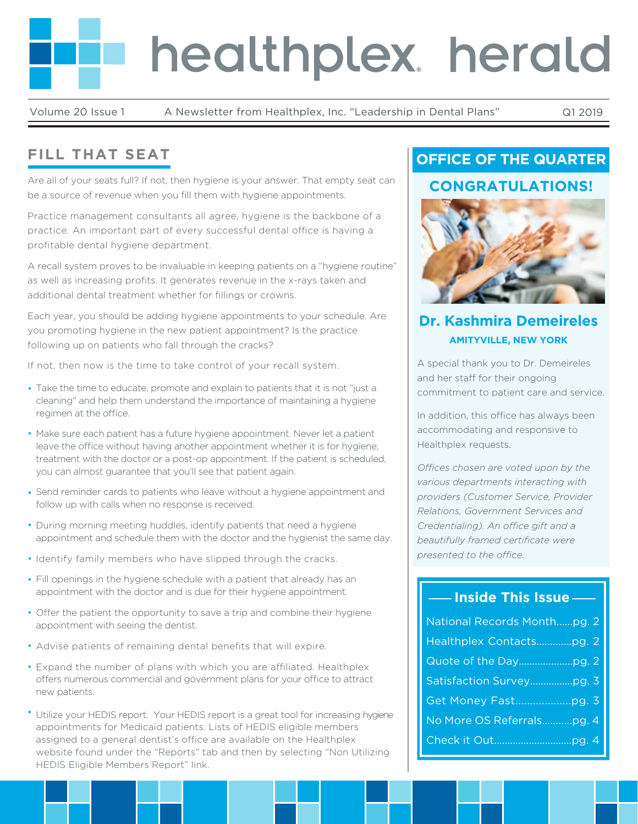# healthplex herald

Volume 20 Issue 1 A Newsletter from Healthplex, Inc. "Leadership in Dental Plans" Q1 2019

# **FILL THAT SEAT**

Are all of your seats full? If not, then hygiene is your answer. That empty seat can be a source of revenue when you fill them with hygiene appointments.

Practice management consultants all agree, hygiene is the backbone of a practice. An important part of every successful dental office is having a profitable dental hygiene department.

A recall system proves to be invaluable in keeping patients on a "hygiene routine" as well as increasing profits. It generates revenue in the x-rays taken and additional dental treatment whether for fillings or crowns.

Each year, you should be adding hygiene appointments to your schedule. Are you promoting hygiene in the new patient appointment? Is the practice following up on patients who fall through the cracks?

If not, then now is the time to take control of your recall system.

- Take the time to educate, promote and explain to patients that it is not "just a cleaning" and help them understand the importance of maintaining a hygiene regimen at the office.
- Make sure each patient has a future hygiene appointment. Never let a patient leave the office without having another appointment whether it is for hygiene, treatment with the doctor or a post-op appointment. If the patient is scheduled, you can almost guarantee that you'll see that patient again.
- Send reminder cards to patients who leave without a hygiene appointment and follow up with calls when no response is received.
- During morning meeting huddles, identify patients that need a hygiene appointment and schedule them with the doctor and the hygienist the same day.
- Identify family members who have slipped through the cracks.
- Fill openings in the hygiene schedule with a patient that already has an appointment with the doctor and is due for their hygiene appointment.
- Offer the patient the opportunity to save a trip and combine their hygiene appointment with seeing the dentist.
- Advise patients of remaining dental benefits that will expire.
- Expand the number of plans with which you are affiliated. Healthplex offers numerous commercial and government plans for your office to attract new patients.
- Utilize your HEDIS report. Your HEDIS report is a great tool for increasing hygiene appointments for Medicaid patients. Lists of HEDIS eligible members assigned to a general dentist's office are available on the Healthplex website found under the "Reports" tab and then by selecting "Non Utilizing HEDIS Eligible Members Report" link.

# **OFFICE OF THE QUARTER**

## **CONGRATULATIONS!**



## **Dr. Kashmira Demeireles AMITYVILLE, NEW YORK**

A special thank you to Dr. Demeireles and her staff for their ongoing commitment to patient care and service.

In addition, this office has always been accommodating and responsive to Healthplex requests.

*Offices chosen are voted upon by the various departments interacting with providers (Customer Service, Provider Relations, Government Services and Credentialing*). An office gift and a *beautifully framed certificate were presented to the office.* 

## **Inside This Issue**

| National Records Monthpg. 2 |
|-----------------------------|
| Healthplex Contactspg. 2    |
|                             |
|                             |
|                             |
| No More OS Referralspg. 4   |
|                             |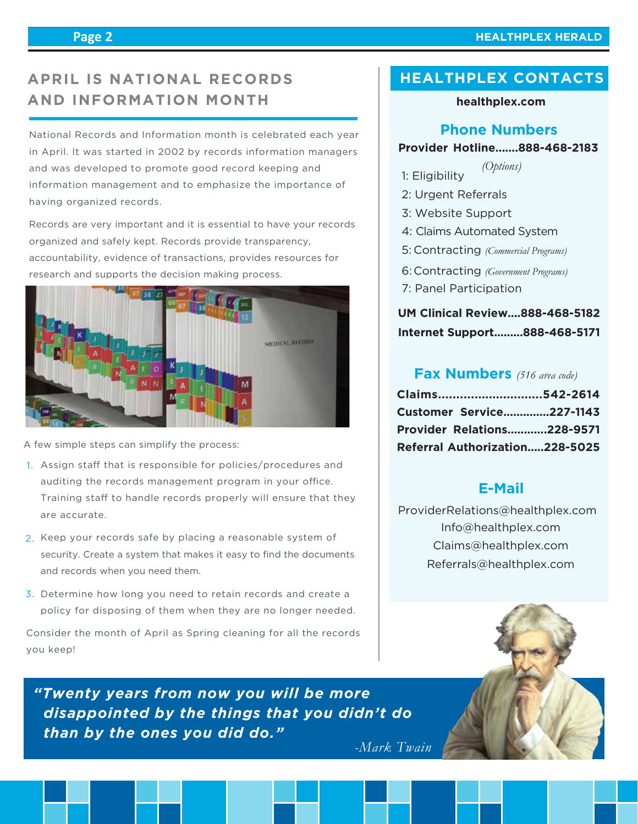# **APRIL IS NATIONAL RECORDS AND INFORMATION MONTH**

National Records and Information month is celebrated each year in April. It was started in 2002 by records information managers and was developed to promote good record keeping and information management and to emphasize the importance of having organized records.

Records are very important and it is essential to have your records organized and safely kept. Records provide transparency, accountability, evidence of transactions, provides resources for research and supports the decision making process.



A few simple steps can simplify the process:

- 1. Assign staff that is responsible for policies/procedures and auditing the records management program in your office. Training staff to handle records properly will ensure that they are accurate.
- 2. Keep your records safe by placing a reasonable system of security. Create a system that makes it easy to find the documents and records when you need them.
- 3. Determine how long you need to retain records and create a policy for disposing of them when they are no longer needed.

Consider the month of April as Spring cleaning for all the records you keep!

*"Twenty years from now you will be more disappointed by the things that you didn't do than by the ones you did do."*

*-Mark Twain*

# **HEALTHPLEX CONTACTS**

#### **healthplex.com**

### **Phone Numbers**

#### **Provider Hotline.......888-468-2183**

- 1: Eligibility *(Options)*
- 2: Urgent Referrals
- 3: Website Support
- 4: Claims Automated System
- Contracting *(Commercial Programs)* 5:
- Contracting *(Government Programs)* 6:
- 7: Panel Participation

## **UM Clinical Review....888-468-5182 Internet Support.........888-468-5171**

## **Fax Numbers** *(516 area code)*

| Claims542-2614                    |  |
|-----------------------------------|--|
| <b>Customer Service227-1143</b>   |  |
| <b>Provider Relations228-9571</b> |  |
| Referral Authorization228-5025    |  |

## **E-Mail**

 Info@healthplex.com ProviderRelations@healthplex.com Claims@healthplex.com Referrals@healthplex.com

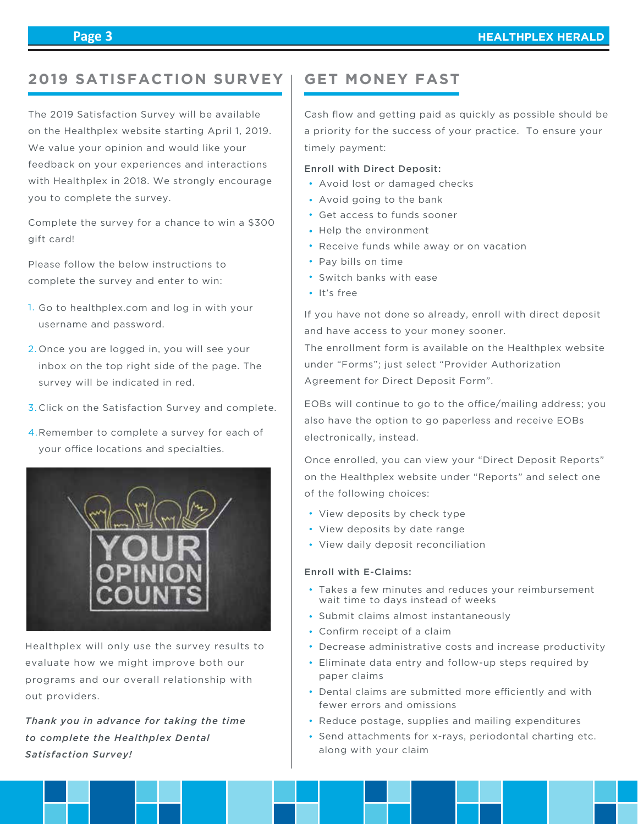## **2019 SATISFACTION SURVEY**

The 2019 Satisfaction Survey will be available on the Healthplex website starting April 1, 2019. We value your opinion and would like your feedback on your experiences and interactions with Healthplex in 2018. We strongly encourage you to complete the survey.

Complete the survey for a chance to win a \$300 gift card!

Please follow the below instructions to complete the survey and enter to win:

- 1. Go to healthplex.com and log in with your username and password.
- 2. Once you are logged in, you will see your inbox on the top right side of the page. The survey will be indicated in red.
- 3. Click on the Satisfaction Survey and complete.
- 4. Remember to complete a survey for each of your office locations and specialties.



Healthplex will only use the survey results to evaluate how we might improve both our programs and our overall relationship with out providers.

*Thank you in advance for taking the time to complete the Healthplex Dental Satisfaction Survey!*

## **GET MONEY FAST**

Cash flow and getting paid as quickly as possible should be a priority for the success of your practice. To ensure your timely payment:

#### Enroll with Direct Deposit:

- Avoid lost or damaged checks
- Avoid going to the bank
- Get access to funds sooner
- Help the environment
- Receive funds while away or on vacation
- Pay bills on time
- Switch banks with ease
- It's free

If you have not done so already, enroll with direct deposit and have access to your money sooner.

The enrollment form is available on the Healthplex website under "Forms"; just select "Provider Authorization Agreement for Direct Deposit Form".

EOBs will continue to go to the office/mailing address; you also have the option to go paperless and receive EOBs electronically, instead.

Once enrolled, you can view your "Direct Deposit Reports" on the Healthplex website under "Reports" and select one of the following choices:

- View deposits by check type
- View deposits by date range
- View daily deposit reconciliation

#### Enroll with E-Claims:

- Takes a few minutes and reduces your reimbursement wait time to days instead of weeks
- Submit claims almost instantaneously
- Confirm receipt of a claim
- Decrease administrative costs and increase productivity
- Eliminate data entry and follow-up steps required by paper claims
- Dental claims are submitted more efficiently and with fewer errors and omissions
- Reduce postage, supplies and mailing expenditures
- Send attachments for x-rays, periodontal charting etc. along with your claim